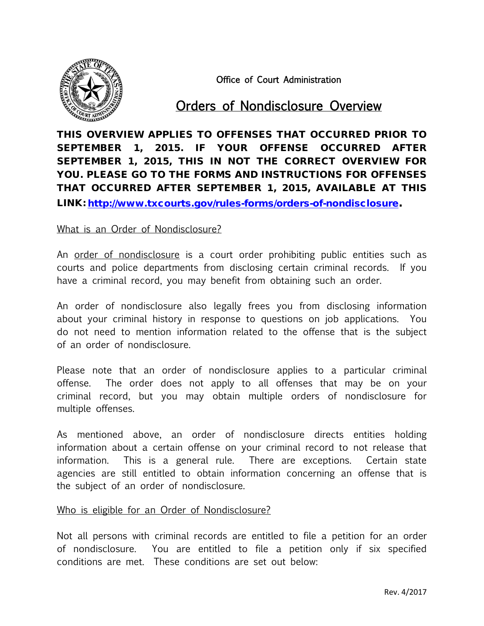

Office of Court Administration

# Orders of Nondisclosure Overview

THIS OVERVIEW APPLIES TO OFFENSES THAT OCCURRED PRIOR TO SEPTEMBER 1, 2015. IF YOUR OFFENSE OCCURRED AFTER SEPTEMBER 1, 2015, THIS IN NOT THE CORRECT OVERVIEW FOR YOU. PLEASE GO TO THE FORMS AND INSTRUCTIONS FOR OFFENSES THAT OCCURRED AFTER SEPTEMBER 1, 2015, AVAILABLE AT THIS LINK: [http://www.txcourts.gov/rules-forms/orders-of-nondisclosure.](http://www.txcourts.gov/rules-forms/orders-of-nondisclosure)

## What is an Order of Nondisclosure?

An order of nondisclosure is a court order prohibiting public entities such as courts and police departments from disclosing certain criminal records. If you have a criminal record, you may benefit from obtaining such an order.

An order of nondisclosure also legally frees you from disclosing information about your criminal history in response to questions on job applications. You do not need to mention information related to the offense that is the subject of an order of nondisclosure.

Please note that an order of nondisclosure applies to a particular criminal offense. The order does not apply to all offenses that may be on your criminal record, but you may obtain multiple orders of nondisclosure for multiple offenses.

As mentioned above, an order of nondisclosure directs entities holding information about a certain offense on your criminal record to not release that information. This is a general rule. There are exceptions. Certain state agencies are still entitled to obtain information concerning an offense that is the subject of an order of nondisclosure.

## Who is eligible for an Order of Nondisclosure?

Not all persons with criminal records are entitled to file a petition for an order of nondisclosure. You are entitled to file a petition only if six specified conditions are met. These conditions are set out below: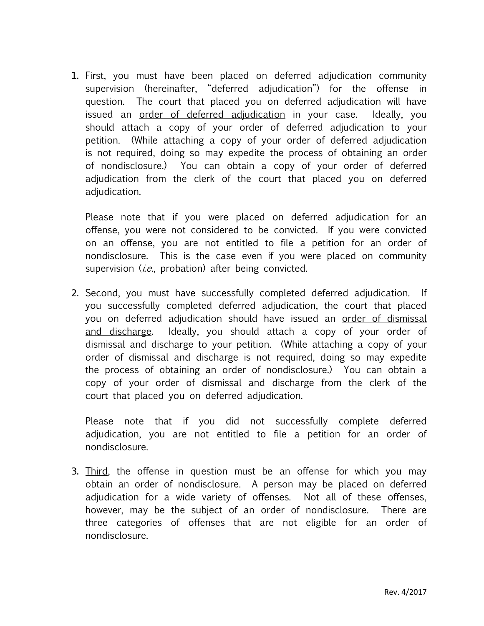1. First, you must have been placed on deferred adjudication community supervision (hereinafter, "deferred adjudication") for the offense in question. The court that placed you on deferred adjudication will have issued an order of deferred adjudication in your case. Ideally, you should attach a copy of your order of deferred adjudication to your petition. (While attaching a copy of your order of deferred adjudication is not required, doing so may expedite the process of obtaining an order of nondisclosure.) You can obtain a copy of your order of deferred adjudication from the clerk of the court that placed you on deferred adiudication.

Please note that if you were placed on deferred adjudication for an offense, you were not considered to be convicted. If you were convicted on an offense, you are not entitled to file a petition for an order of nondisclosure. This is the case even if you were placed on community supervision  $(i.e.,$  probation) after being convicted.

2. Second, you must have successfully completed deferred adjudication. If you successfully completed deferred adjudication, the court that placed you on deferred adjudication should have issued an order of dismissal and discharge. Ideally, you should attach a copy of your order of dismissal and discharge to your petition. (While attaching a copy of your order of dismissal and discharge is not required, doing so may expedite the process of obtaining an order of nondisclosure.) You can obtain a copy of your order of dismissal and discharge from the clerk of the court that placed you on deferred adjudication.

Please note that if you did not successfully complete deferred adjudication, you are not entitled to file a petition for an order of nondisclosure.

3. Third, the offense in question must be an offense for which you may obtain an order of nondisclosure. A person may be placed on deferred adjudication for a wide variety of offenses. Not all of these offenses, however, may be the subject of an order of nondisclosure. There are three categories of offenses that are not eligible for an order of nondisclosure.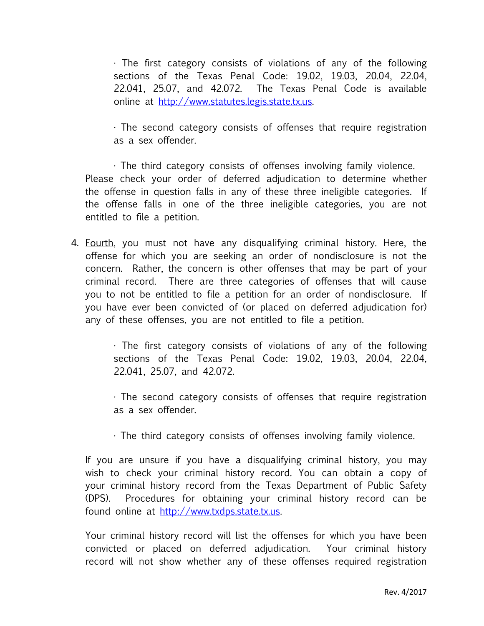· The first category consists of violations of any of the following sections of the Texas Penal Code: 19.02, 19.03, 20.04, 22.04, 22.041, 25.07, and 42.072. The Texas Penal Code is available online at [http://www.statutes.legis.state.tx.us.](http://www.statutes.legis.state.tx.us/)

· The second category consists of offenses that require registration as a sex offender.

· The third category consists of offenses involving family violence. Please check your order of deferred adjudication to determine whether the offense in question falls in any of these three ineligible categories. If the offense falls in one of the three ineligible categories, you are not entitled to file a petition.

4. Fourth, you must not have any disqualifying criminal history. Here, the offense for which you are seeking an order of nondisclosure is not the concern. Rather, the concern is other offenses that may be part of your criminal record. There are three categories of offenses that will cause you to not be entitled to file a petition for an order of nondisclosure. If you have ever been convicted of (or placed on deferred adjudication for) any of these offenses, you are not entitled to file a petition.

> · The first category consists of violations of any of the following sections of the Texas Penal Code: 19.02, 19.03, 20.04, 22.04, 22.041, 25.07, and 42.072.

> · The second category consists of offenses that require registration as a sex offender.

· The third category consists of offenses involving family violence.

If you are unsure if you have a disqualifying criminal history, you may wish to check your criminal history record. You can obtain a copy of your criminal history record from the Texas Department of Public Safety (DPS). Procedures for obtaining your criminal history record can be found online at http://www.txdps.state.tx.us.

Your criminal history record will list the offenses for which you have been convicted or placed on deferred adjudication. Your criminal history record will not show whether any of these offenses required registration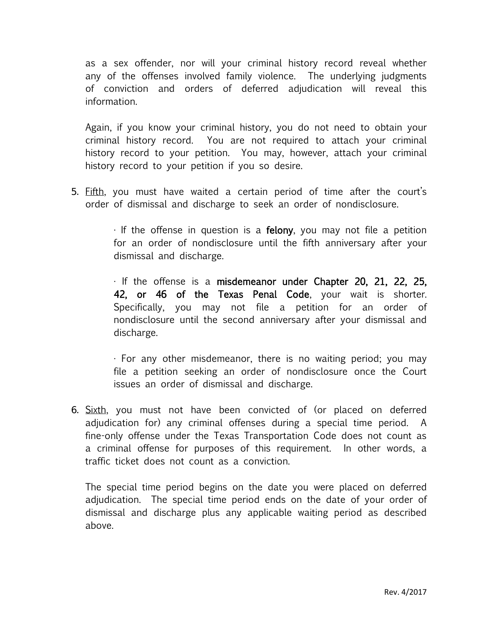as a sex offender, nor will your criminal history record reveal whether any of the offenses involved family violence. The underlying judgments of conviction and orders of deferred adjudication will reveal this information.

Again, if you know your criminal history, you do not need to obtain your criminal history record. You are not required to attach your criminal history record to your petition. You may, however, attach your criminal history record to your petition if you so desire.

5. Fifth, you must have waited a certain period of time after the court's order of dismissal and discharge to seek an order of nondisclosure.

> $\cdot$  If the offense in question is a **felony**, you may not file a petition for an order of nondisclosure until the fifth anniversary after your dismissal and discharge.

> · If the offense is a misdemeanor under Chapter 20, 21, 22, 25, 42, or 46 of the Texas Penal Code, your wait is shorter. Specifically, you may not file a petition for an order of nondisclosure until the second anniversary after your dismissal and discharge.

> · For any other misdemeanor, there is no waiting period; you may file a petition seeking an order of nondisclosure once the Court issues an order of dismissal and discharge.

6. Sixth, you must not have been convicted of (or placed on deferred adjudication for) any criminal offenses during a special time period. A fine-only offense under the Texas Transportation Code does not count as a criminal offense for purposes of this requirement. In other words, a traffic ticket does not count as a conviction.

The special time period begins on the date you were placed on deferred adjudication. The special time period ends on the date of your order of dismissal and discharge plus any applicable waiting period as described above.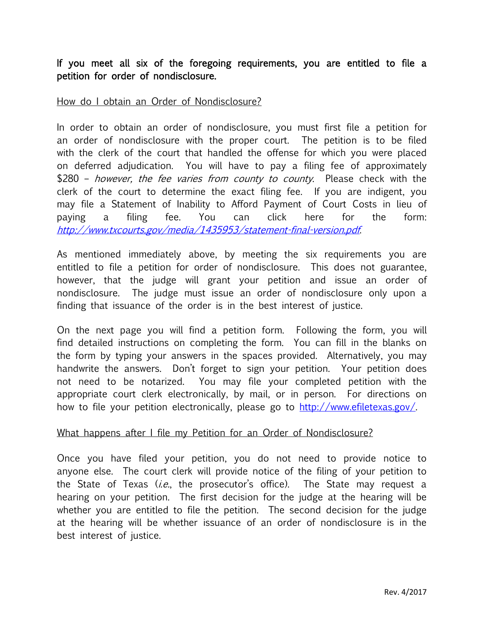If you meet all six of the foregoing requirements, you are entitled to file a petition for order of nondisclosure.

# How do I obtain an Order of Nondisclosure?

In order to obtain an order of nondisclosure, you must first file a petition for an order of nondisclosure with the proper court. The petition is to be filed with the clerk of the court that handled the offense for which you were placed on deferred adjudication. You will have to pay a filing fee of approximately \$280 – however, the fee varies from county to county. Please check with the clerk of the court to determine the exact filing fee. If you are indigent, you may file a Statement of Inability to Afford Payment of Court Costs in lieu of paying a filing fee. You can click here for the form: <http://www.txcourts.gov/media/1435953/statement-final-version.pdf>.

As mentioned immediately above, by meeting the six requirements you are entitled to file a petition for order of nondisclosure. This does not guarantee, however, that the judge will grant your petition and issue an order of nondisclosure. The judge must issue an order of nondisclosure only upon a finding that issuance of the order is in the best interest of justice.

On the next page you will find a petition form. Following the form, you will find detailed instructions on completing the form. You can fill in the blanks on the form by typing your answers in the spaces provided. Alternatively, you may handwrite the answers. Don't forget to sign your petition. Your petition does not need to be notarized. You may file your completed petition with the appropriate court clerk electronically, by mail, or in person. For directions on how to file your petition electronically, please go to [http://www.efiletexas.gov/.](http://www.efiletexas.gov/)

## What happens after I file my Petition for an Order of Nondisclosure?

Once you have filed your petition, you do not need to provide notice to anyone else. The court clerk will provide notice of the filing of your petition to the State of Texas  $(i.e.,$  the prosecutor's office). The State may request a hearing on your petition. The first decision for the judge at the hearing will be whether you are entitled to file the petition. The second decision for the judge at the hearing will be whether issuance of an order of nondisclosure is in the best interest of justice.